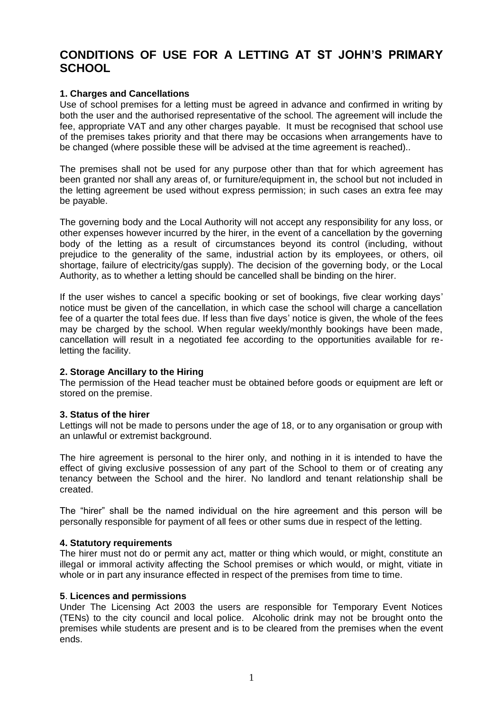# **CONDITIONS OF USE FOR A LETTING AT ST JOHN'S PRIMARY SCHOOL**

# **1. Charges and Cancellations**

Use of school premises for a letting must be agreed in advance and confirmed in writing by both the user and the authorised representative of the school. The agreement will include the fee, appropriate VAT and any other charges payable. It must be recognised that school use of the premises takes priority and that there may be occasions when arrangements have to be changed (where possible these will be advised at the time agreement is reached)..

The premises shall not be used for any purpose other than that for which agreement has been granted nor shall any areas of, or furniture/equipment in, the school but not included in the letting agreement be used without express permission; in such cases an extra fee may be payable.

The governing body and the Local Authority will not accept any responsibility for any loss, or other expenses however incurred by the hirer, in the event of a cancellation by the governing body of the letting as a result of circumstances beyond its control (including, without prejudice to the generality of the same, industrial action by its employees, or others, oil shortage, failure of electricity/gas supply). The decision of the governing body, or the Local Authority, as to whether a letting should be cancelled shall be binding on the hirer.

If the user wishes to cancel a specific booking or set of bookings, five clear working days' notice must be given of the cancellation, in which case the school will charge a cancellation fee of a quarter the total fees due. If less than five days' notice is given, the whole of the fees may be charged by the school. When regular weekly/monthly bookings have been made, cancellation will result in a negotiated fee according to the opportunities available for reletting the facility.

# **2. Storage Ancillary to the Hiring**

The permission of the Head teacher must be obtained before goods or equipment are left or stored on the premise.

# **3. Status of the hirer**

Lettings will not be made to persons under the age of 18, or to any organisation or group with an unlawful or extremist background.

The hire agreement is personal to the hirer only, and nothing in it is intended to have the effect of giving exclusive possession of any part of the School to them or of creating any tenancy between the School and the hirer. No landlord and tenant relationship shall be created.

The "hirer" shall be the named individual on the hire agreement and this person will be personally responsible for payment of all fees or other sums due in respect of the letting.

# **4. Statutory requirements**

The hirer must not do or permit any act, matter or thing which would, or might, constitute an illegal or immoral activity affecting the School premises or which would, or might, vitiate in whole or in part any insurance effected in respect of the premises from time to time.

#### **5**. **Licences and permissions**

Under The Licensing Act 2003 the users are responsible for Temporary Event Notices (TENs) to the city council and local police. Alcoholic drink may not be brought onto the premises while students are present and is to be cleared from the premises when the event ends.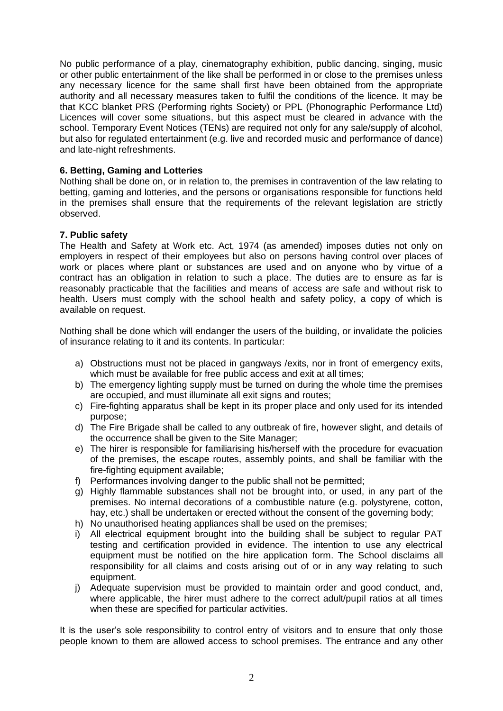No public performance of a play, cinematography exhibition, public dancing, singing, music or other public entertainment of the like shall be performed in or close to the premises unless any necessary licence for the same shall first have been obtained from the appropriate authority and all necessary measures taken to fulfil the conditions of the licence. It may be that KCC blanket PRS (Performing rights Society) or PPL (Phonographic Performance Ltd) Licences will cover some situations, but this aspect must be cleared in advance with the school. Temporary Event Notices (TENs) are required not only for any sale/supply of alcohol, but also for regulated entertainment (e.g. live and recorded music and performance of dance) and late-night refreshments.

# **6. Betting, Gaming and Lotteries**

Nothing shall be done on, or in relation to, the premises in contravention of the law relating to betting, gaming and lotteries, and the persons or organisations responsible for functions held in the premises shall ensure that the requirements of the relevant legislation are strictly observed.

# **7. Public safety**

The Health and Safety at Work etc. Act, 1974 (as amended) imposes duties not only on employers in respect of their employees but also on persons having control over places of work or places where plant or substances are used and on anyone who by virtue of a contract has an obligation in relation to such a place. The duties are to ensure as far is reasonably practicable that the facilities and means of access are safe and without risk to health. Users must comply with the school health and safety policy, a copy of which is available on request.

Nothing shall be done which will endanger the users of the building, or invalidate the policies of insurance relating to it and its contents. In particular:

- a) Obstructions must not be placed in gangways /exits, nor in front of emergency exits, which must be available for free public access and exit at all times;
- b) The emergency lighting supply must be turned on during the whole time the premises are occupied, and must illuminate all exit signs and routes;
- c) Fire-fighting apparatus shall be kept in its proper place and only used for its intended purpose;
- d) The Fire Brigade shall be called to any outbreak of fire, however slight, and details of the occurrence shall be given to the Site Manager;
- e) The hirer is responsible for familiarising his/herself with the procedure for evacuation of the premises, the escape routes, assembly points, and shall be familiar with the fire-fighting equipment available;
- f) Performances involving danger to the public shall not be permitted;
- g) Highly flammable substances shall not be brought into, or used, in any part of the premises. No internal decorations of a combustible nature (e.g. polystyrene, cotton, hay, etc.) shall be undertaken or erected without the consent of the governing body;
- h) No unauthorised heating appliances shall be used on the premises;
- i) All electrical equipment brought into the building shall be subject to regular PAT testing and certification provided in evidence. The intention to use any electrical equipment must be notified on the hire application form. The School disclaims all responsibility for all claims and costs arising out of or in any way relating to such equipment.
- j) Adequate supervision must be provided to maintain order and good conduct, and, where applicable, the hirer must adhere to the correct adult/pupil ratios at all times when these are specified for particular activities.

It is the user's sole responsibility to control entry of visitors and to ensure that only those people known to them are allowed access to school premises. The entrance and any other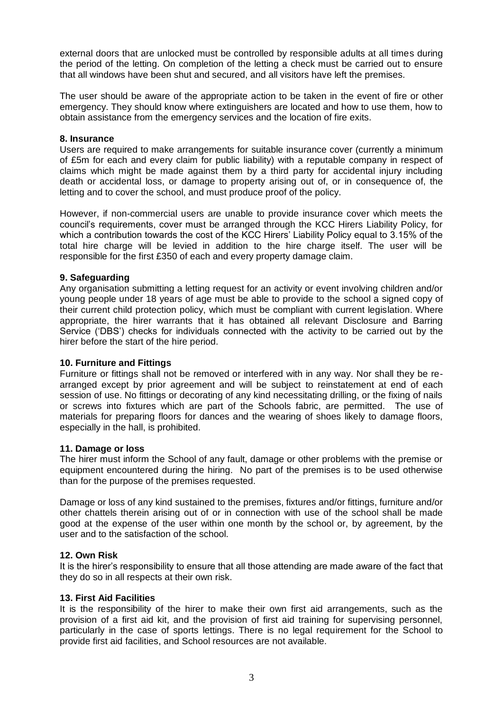external doors that are unlocked must be controlled by responsible adults at all times during the period of the letting. On completion of the letting a check must be carried out to ensure that all windows have been shut and secured, and all visitors have left the premises.

The user should be aware of the appropriate action to be taken in the event of fire or other emergency. They should know where extinguishers are located and how to use them, how to obtain assistance from the emergency services and the location of fire exits.

## **8. Insurance**

Users are required to make arrangements for suitable insurance cover (currently a minimum of £5m for each and every claim for public liability) with a reputable company in respect of claims which might be made against them by a third party for accidental injury including death or accidental loss, or damage to property arising out of, or in consequence of, the letting and to cover the school, and must produce proof of the policy.

However, if non-commercial users are unable to provide insurance cover which meets the council's requirements, cover must be arranged through the KCC Hirers Liability Policy, for which a contribution towards the cost of the KCC Hirers' Liability Policy equal to 3.15% of the total hire charge will be levied in addition to the hire charge itself. The user will be responsible for the first £350 of each and every property damage claim.

# **9. Safeguarding**

Any organisation submitting a letting request for an activity or event involving children and/or young people under 18 years of age must be able to provide to the school a signed copy of their current child protection policy, which must be compliant with current legislation. Where appropriate, the hirer warrants that it has obtained all relevant Disclosure and Barring Service ('DBS') checks for individuals connected with the activity to be carried out by the hirer before the start of the hire period.

# **10. Furniture and Fittings**

Furniture or fittings shall not be removed or interfered with in any way. Nor shall they be rearranged except by prior agreement and will be subject to reinstatement at end of each session of use. No fittings or decorating of any kind necessitating drilling, or the fixing of nails or screws into fixtures which are part of the Schools fabric, are permitted. The use of materials for preparing floors for dances and the wearing of shoes likely to damage floors, especially in the hall, is prohibited.

#### **11. Damage or loss**

The hirer must inform the School of any fault, damage or other problems with the premise or equipment encountered during the hiring. No part of the premises is to be used otherwise than for the purpose of the premises requested.

Damage or loss of any kind sustained to the premises, fixtures and/or fittings, furniture and/or other chattels therein arising out of or in connection with use of the school shall be made good at the expense of the user within one month by the school or, by agreement, by the user and to the satisfaction of the school.

# **12. Own Risk**

It is the hirer's responsibility to ensure that all those attending are made aware of the fact that they do so in all respects at their own risk.

# **13. First Aid Facilities**

It is the responsibility of the hirer to make their own first aid arrangements, such as the provision of a first aid kit, and the provision of first aid training for supervising personnel, particularly in the case of sports lettings. There is no legal requirement for the School to provide first aid facilities, and School resources are not available.